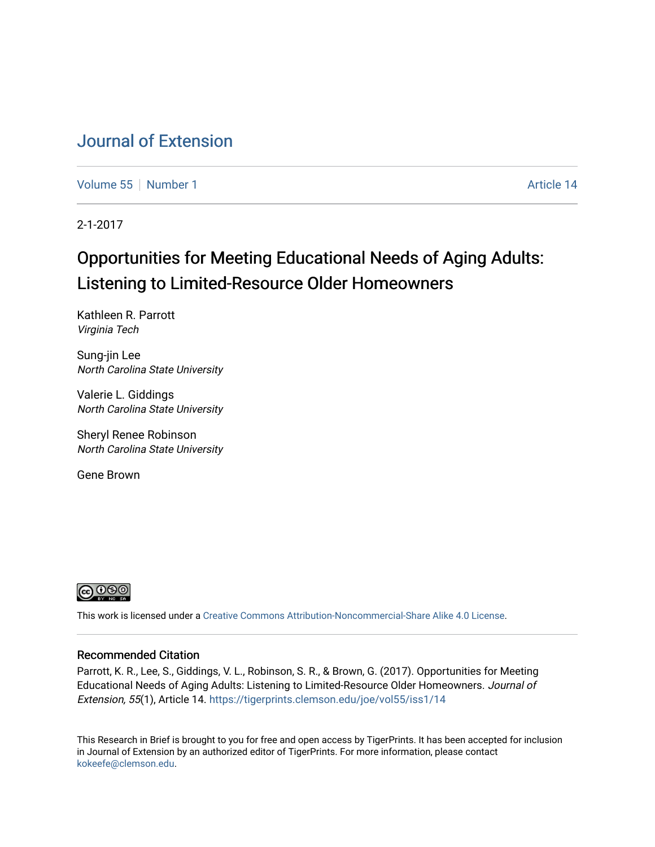# [Journal of Extension](https://tigerprints.clemson.edu/joe)

[Volume 55](https://tigerprints.clemson.edu/joe/vol55) [Number 1](https://tigerprints.clemson.edu/joe/vol55/iss1) Article 14

2-1-2017

# Opportunities for Meeting Educational Needs of Aging Adults: Listening to Limited-Resource Older Homeowners

Kathleen R. Parrott Virginia Tech

Sung-jin Lee North Carolina State University

Valerie L. Giddings North Carolina State University

Sheryl Renee Robinson North Carolina State University

Gene Brown



This work is licensed under a [Creative Commons Attribution-Noncommercial-Share Alike 4.0 License.](https://creativecommons.org/licenses/by-nc-sa/4.0/)

### Recommended Citation

Parrott, K. R., Lee, S., Giddings, V. L., Robinson, S. R., & Brown, G. (2017). Opportunities for Meeting Educational Needs of Aging Adults: Listening to Limited-Resource Older Homeowners. Journal of Extension, 55(1), Article 14. <https://tigerprints.clemson.edu/joe/vol55/iss1/14>

This Research in Brief is brought to you for free and open access by TigerPrints. It has been accepted for inclusion in Journal of Extension by an authorized editor of TigerPrints. For more information, please contact [kokeefe@clemson.edu](mailto:kokeefe@clemson.edu).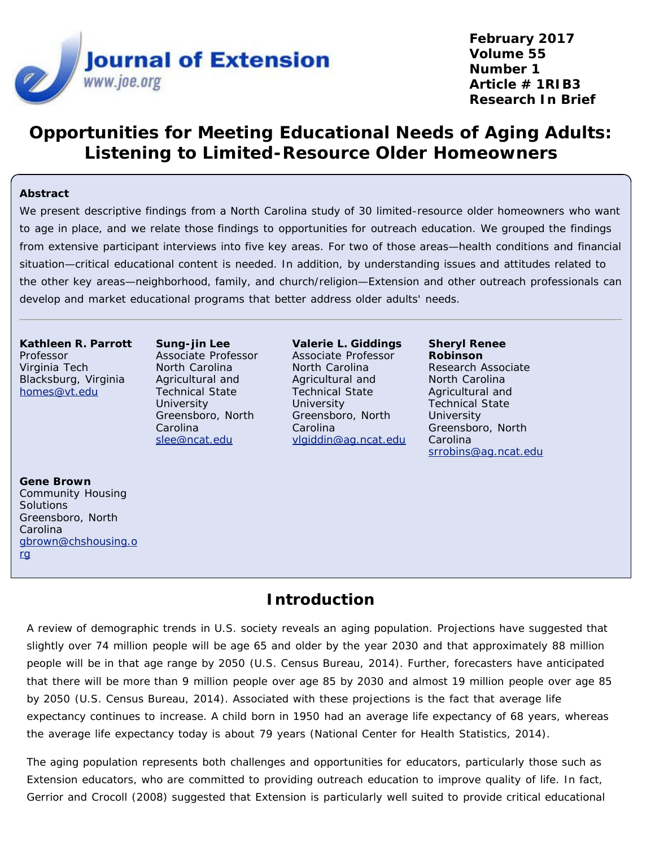

**February 2017 Volume 55 Number 1 Article # 1RIB3 Research In Brief**

# **Opportunities for Meeting Educational Needs of Aging Adults: Listening to Limited-Resource Older Homeowners**

### **Abstract**

We present descriptive findings from a North Carolina study of 30 limited-resource older homeowners who want to age in place, and we relate those findings to opportunities for outreach education. We grouped the findings from extensive participant interviews into five key areas. For two of those areas—health conditions and financial situation—critical educational content is needed. In addition, by understanding issues and attitudes related to the other key areas—neighborhood, family, and church/religion—Extension and other outreach professionals can develop and market educational programs that better address older adults' needs.

**Kathleen R. Parrott** Professor Virginia Tech Blacksburg, Virginia [homes@vt.edu](mailto:homes@vt.edu)

**Sung-jin Lee** Associate Professor North Carolina Agricultural and Technical State **University** Greensboro, North Carolina [slee@ncat.edu](mailto:slee@ncat.edu)

**Valerie L. Giddings** Associate Professor North Carolina Agricultural and Technical State **University** Greensboro, North Carolina [vlgiddin@ag.ncat.edu](mailto:vlgiddin@ag.ncat.edu)

**Sheryl Renee Robinson** Research Associate North Carolina Agricultural and Technical State **University** Greensboro, North Carolina [srrobins@ag.ncat.edu](mailto:srrobins@ag.ncat.edu)

**Gene Brown** Community Housing **Solutions** Greensboro, North Carolina [gbrown@chshousing.o](mailto:gbrown@chshousing.org) [rg](mailto:gbrown@chshousing.org)

### **Introduction**

A review of demographic trends in U.S. society reveals an aging population. Projections have suggested that slightly over 74 million people will be age 65 and older by the year 2030 and that approximately 88 million people will be in that age range by 2050 (U.S. Census Bureau, 2014). Further, forecasters have anticipated that there will be more than 9 million people over age 85 by 2030 and almost 19 million people over age 85 by 2050 (U.S. Census Bureau, 2014). Associated with these projections is the fact that average life expectancy continues to increase. A child born in 1950 had an average life expectancy of 68 years, whereas the average life expectancy today is about 79 years (National Center for Health Statistics, 2014).

The aging population represents both challenges and opportunities for educators, particularly those such as Extension educators, who are committed to providing outreach education to improve quality of life. In fact, Gerrior and Crocoll (2008) suggested that Extension is particularly well suited to provide critical educational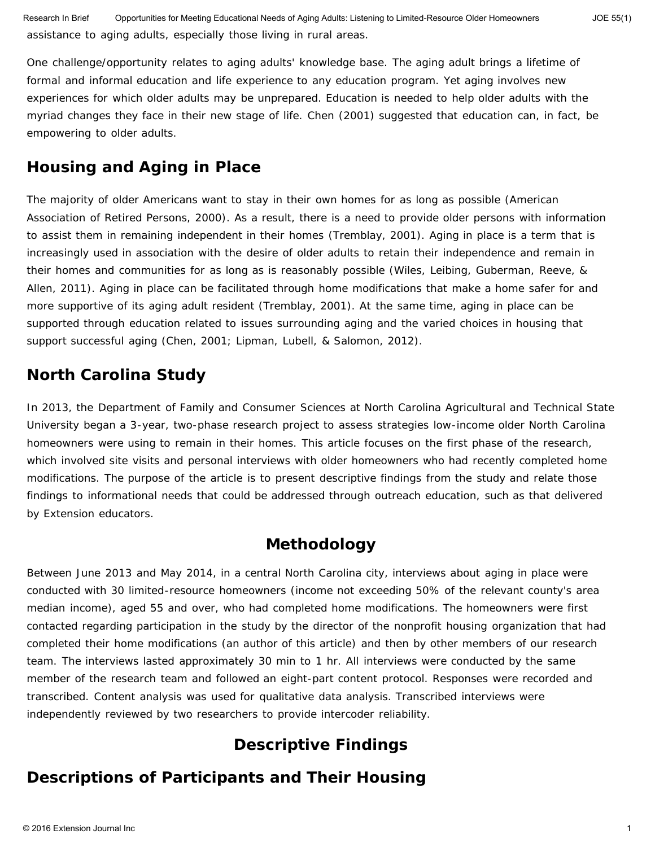One challenge/opportunity relates to aging adults' knowledge base. The aging adult brings a lifetime of formal and informal education and life experience to any education program. Yet aging involves new experiences for which older adults may be unprepared. Education is needed to help older adults with the myriad changes they face in their new stage of life. Chen (2001) suggested that education can, in fact, be empowering to older adults.

### **Housing and Aging in Place**

The majority of older Americans want to stay in their own homes for as long as possible (American Association of Retired Persons, 2000). As a result, there is a need to provide older persons with information to assist them in remaining independent in their homes (Tremblay, 2001). *Aging in place* is a term that is increasingly used in association with the desire of older adults to retain their independence and remain in their homes and communities for as long as is reasonably possible (Wiles, Leibing, Guberman, Reeve, & Allen, 2011). Aging in place can be facilitated through home modifications that make a home safer for and more supportive of its aging adult resident (Tremblay, 2001). At the same time, aging in place can be supported through education related to issues surrounding aging and the varied choices in housing that support successful aging (Chen, 2001; Lipman, Lubell, & Salomon, 2012).

## **North Carolina Study**

In 2013, the Department of Family and Consumer Sciences at North Carolina Agricultural and Technical State University began a 3-year, two-phase research project to assess strategies low-income older North Carolina homeowners were using to remain in their homes. This article focuses on the first phase of the research, which involved site visits and personal interviews with older homeowners who had recently completed home modifications. The purpose of the article is to present descriptive findings from the study and relate those findings to informational needs that could be addressed through outreach education, such as that delivered by Extension educators.

### **Methodology**

Between June 2013 and May 2014, in a central North Carolina city, interviews about aging in place were conducted with 30 limited-resource homeowners (income not exceeding 50% of the relevant county's area median income), aged 55 and over, who had completed home modifications. The homeowners were first contacted regarding participation in the study by the director of the nonprofit housing organization that had completed their home modifications (an author of this article) and then by other members of our research team. The interviews lasted approximately 30 min to 1 hr. All interviews were conducted by the same member of the research team and followed an eight-part content protocol. Responses were recorded and transcribed. Content analysis was used for qualitative data analysis. Transcribed interviews were independently reviewed by two researchers to provide intercoder reliability.

# **Descriptive Findings**

## **Descriptions of Participants and Their Housing**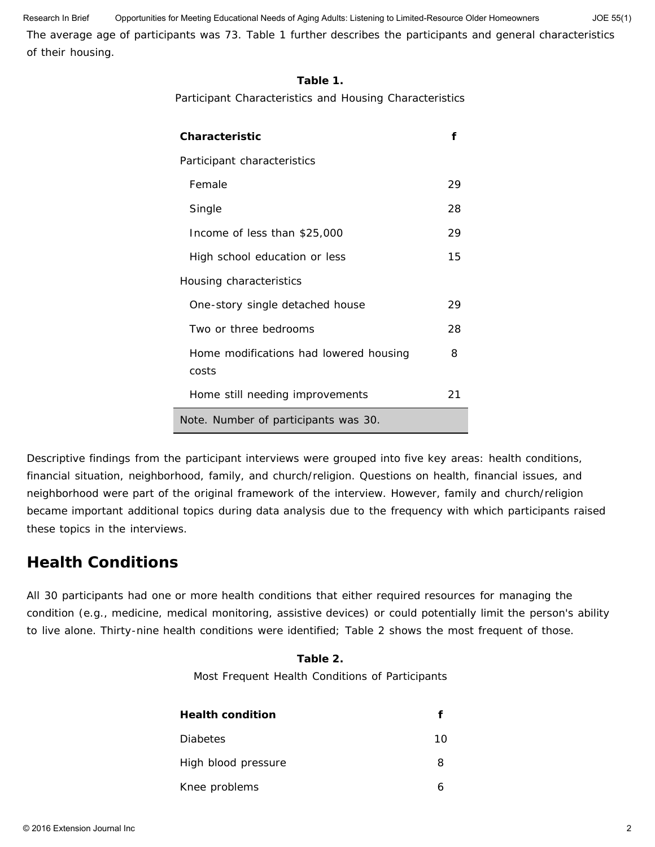The average age of participants was 73. Table 1 further describes the participants and general characteristics of their housing. Research In Brief Opportunities for Meeting Educational Needs of Aging Adults: Listening to Limited-Resource Older Homeowners JOE 55(1)

### **Table 1.**

Participant Characteristics and Housing Characteristics

| Characteristic                                  |    |
|-------------------------------------------------|----|
| Participant characteristics                     |    |
| Female                                          | 29 |
| Single                                          | 28 |
| Income of less than \$25,000                    | 29 |
| High school education or less                   | 15 |
| Housing characteristics                         |    |
| One-story single detached house                 | 29 |
| Two or three bedrooms                           | 28 |
| Home modifications had lowered housing<br>costs | 8  |
| Home still needing improvements                 | 21 |
| Note. Number of participants was 30.            |    |

Descriptive findings from the participant interviews were grouped into five key areas: health conditions, financial situation, neighborhood, family, and church/religion. Questions on health, financial issues, and neighborhood were part of the original framework of the interview. However, family and church/religion became important additional topics during data analysis due to the frequency with which participants raised these topics in the interviews.

### **Health Conditions**

All 30 participants had one or more health conditions that either required resources for managing the condition (e.g., medicine, medical monitoring, assistive devices) or could potentially limit the person's ability to live alone. Thirty-nine health conditions were identified; Table 2 shows the most frequent of those.

### **Table 2.**

Most Frequent Health Conditions of Participants

| <b>Health condition</b> |    |
|-------------------------|----|
| <b>Diabetes</b>         | 10 |
| High blood pressure     | 8  |
| Knee problems           |    |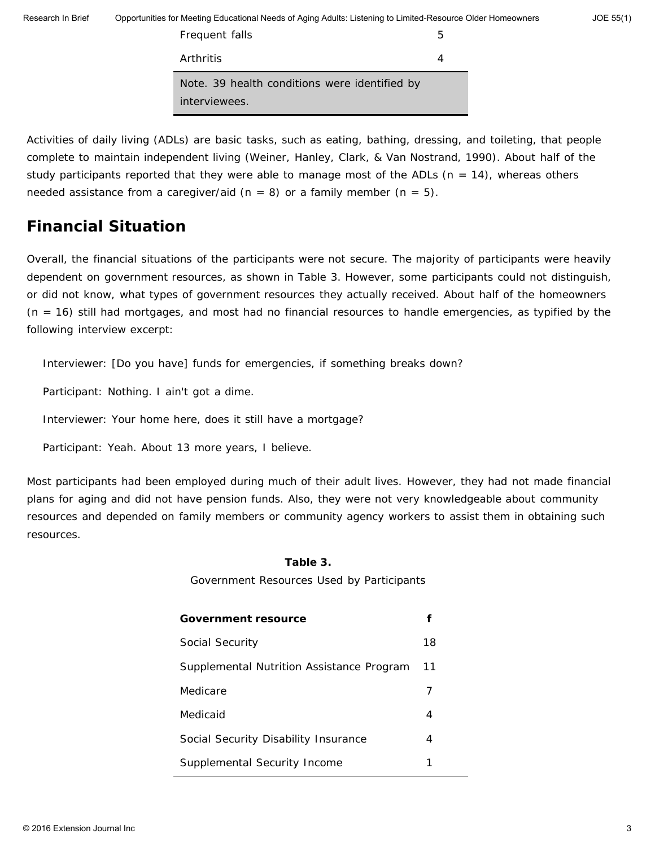Frequent falls 5 Arthritis 4 *Note.* 39 health conditions were identified by interviewees.

Activities of daily living (ADLs) are basic tasks, such as eating, bathing, dressing, and toileting, that people complete to maintain independent living (Weiner, Hanley, Clark, & Van Nostrand, 1990). About half of the study participants reported that they were able to manage most of the ADLs  $(n = 14)$ , whereas others needed assistance from a caregiver/aid  $(n = 8)$  or a family member  $(n = 5)$ .

## **Financial Situation**

Overall, the financial situations of the participants were not secure. The majority of participants were heavily dependent on government resources, as shown in Table 3. However, some participants could not distinguish, or did not know, what types of government resources they actually received. About half of the homeowners (*n* = 16) still had mortgages, and most had no financial resources to handle emergencies, as typified by the following interview excerpt:

Interviewer: [Do you have] funds for emergencies, if something breaks down?

Participant: Nothing. I ain't got a dime.

Interviewer: Your home here, does it still have a mortgage?

Participant: Yeah. About 13 more years, I believe.

Most participants had been employed during much of their adult lives. However, they had not made financial plans for aging and did not have pension funds. Also, they were not very knowledgeable about community resources and depended on family members or community agency workers to assist them in obtaining such resources.

### **Table 3.**

Government Resources Used by Participants

| <b>Government resource</b>                |    |
|-------------------------------------------|----|
| Social Security                           | 18 |
| Supplemental Nutrition Assistance Program | 11 |
| Medicare                                  |    |
| Medicaid                                  | 4  |
| Social Security Disability Insurance      | 4  |
| Supplemental Security Income              |    |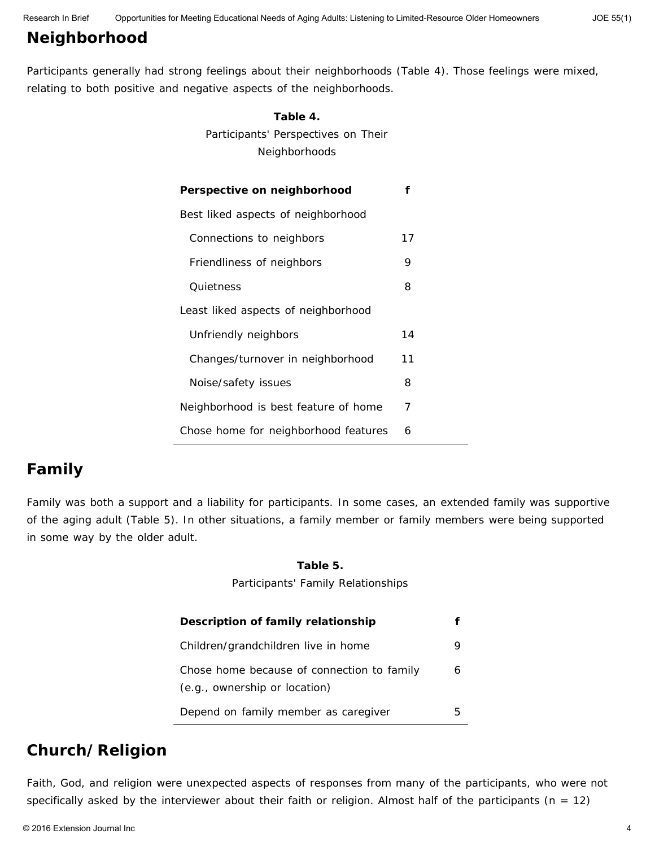# **Neighborhood**

Participants generally had strong feelings about their neighborhoods (Table 4). Those feelings were mixed, relating to both positive and negative aspects of the neighborhoods.

**Table 4.**

| LADIE 4.                             |    |
|--------------------------------------|----|
| Participants' Perspectives on Their  |    |
| Neighborhoods                        |    |
|                                      |    |
| Perspective on neighborhood          | f  |
| Best liked aspects of neighborhood   |    |
| Connections to neighbors             | 17 |
| Friendliness of neighbors            | 9  |
| Quietness                            | 8  |
| Least liked aspects of neighborhood  |    |
| Unfriendly neighbors                 | 14 |
| Changes/turnover in neighborhood     | 11 |
| Noise/safety issues                  | 8  |
| Neighborhood is best feature of home | 7  |
| Chose home for neighborhood features | 6  |

# **Family**

Family was both a support and a liability for participants. In some cases, an extended family was supportive of the aging adult (Table 5). In other situations, a family member or family members were being supported in some way by the older adult.

### **Table 5.**

Participants' Family Relationships

| Description of family relationship                                          |   |
|-----------------------------------------------------------------------------|---|
| Children/grandchildren live in home                                         |   |
| Chose home because of connection to family<br>(e.g., ownership or location) |   |
| Depend on family member as caregiver                                        | h |

### **Church/Religion**

Faith, God, and religion were unexpected aspects of responses from many of the participants, who were not specifically asked by the interviewer about their faith or religion. Almost half of the participants (*n* = 12)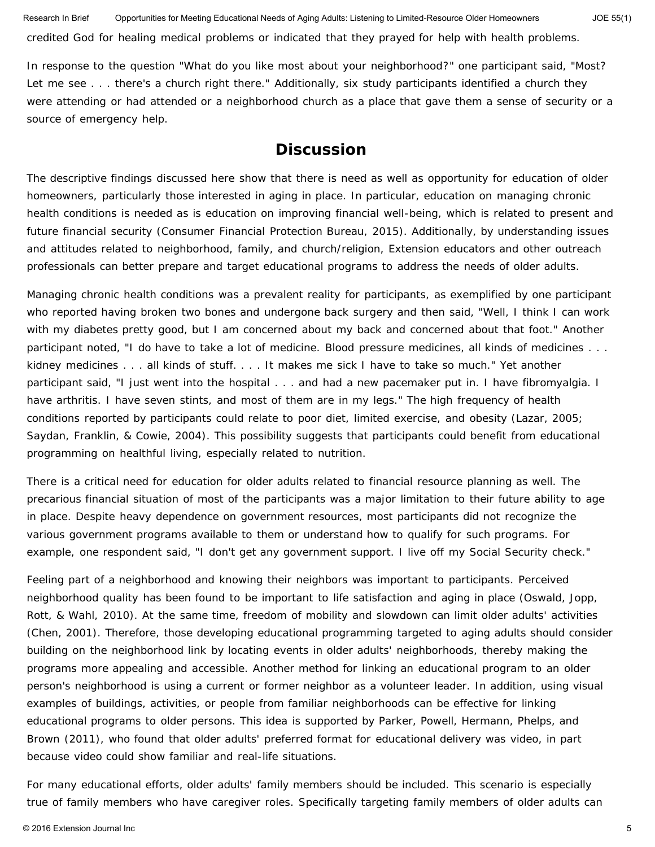credited God for healing medical problems or indicated that they prayed for help with health problems.

In response to the question "What do you like most about your neighborhood?" one participant said, "Most? Let me see . . . there's a church right there." Additionally, six study participants identified a church they were attending or had attended or a neighborhood church as a place that gave them a sense of security or a source of emergency help.

### **Discussion**

The descriptive findings discussed here show that there is need as well as opportunity for education of older homeowners, particularly those interested in aging in place. In particular, education on managing chronic health conditions is needed as is education on improving financial well-being, which is related to present and future financial security (Consumer Financial Protection Bureau, 2015). Additionally, by understanding issues and attitudes related to neighborhood, family, and church/religion, Extension educators and other outreach professionals can better prepare and target educational programs to address the needs of older adults.

Managing chronic health conditions was a prevalent reality for participants, as exemplified by one participant who reported having broken two bones and undergone back surgery and then said, "Well, I think I can work with my diabetes pretty good, but I am concerned about my back and concerned about that foot." Another participant noted, "I do have to take a lot of medicine. Blood pressure medicines, all kinds of medicines . . . kidney medicines . . . all kinds of stuff. . . . It makes me sick I have to take so much." Yet another participant said, "I just went into the hospital . . . and had a new pacemaker put in. I have fibromyalgia. I have arthritis. I have seven stints, and most of them are in my legs." The high frequency of health conditions reported by participants could relate to poor diet, limited exercise, and obesity (Lazar, 2005; Saydan, Franklin, & Cowie, 2004). This possibility suggests that participants could benefit from educational programming on healthful living, especially related to nutrition.

There is a critical need for education for older adults related to financial resource planning as well. The precarious financial situation of most of the participants was a major limitation to their future ability to age in place. Despite heavy dependence on government resources, most participants did not recognize the various government programs available to them or understand how to qualify for such programs. For example, one respondent said, "I don't get any government support. I live off my Social Security check."

Feeling part of a neighborhood and knowing their neighbors was important to participants. Perceived neighborhood quality has been found to be important to life satisfaction and aging in place (Oswald, Jopp, Rott, & Wahl, 2010). At the same time, freedom of mobility and slowdown can limit older adults' activities (Chen, 2001). Therefore, those developing educational programming targeted to aging adults should consider building on the neighborhood link by locating events in older adults' neighborhoods, thereby making the programs more appealing and accessible. Another method for linking an educational program to an older person's neighborhood is using a current or former neighbor as a volunteer leader. In addition, using visual examples of buildings, activities, or people from familiar neighborhoods can be effective for linking educational programs to older persons. This idea is supported by Parker, Powell, Hermann, Phelps, and Brown (2011), who found that older adults' preferred format for educational delivery was video, in part because video could show familiar and real-life situations.

For many educational efforts, older adults' family members should be included. This scenario is especially true of family members who have caregiver roles. Specifically targeting family members of older adults can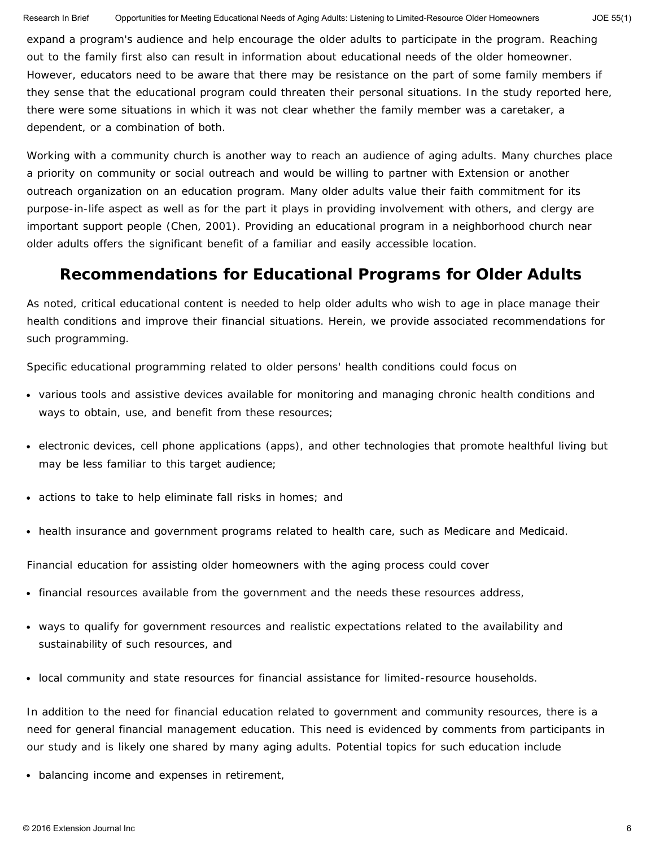expand a program's audience and help encourage the older adults to participate in the program. Reaching out to the family first also can result in information about educational needs of the older homeowner. However, educators need to be aware that there may be resistance on the part of some family members if they sense that the educational program could threaten their personal situations. In the study reported here, there were some situations in which it was not clear whether the family member was a caretaker, a dependent, or a combination of both.

Working with a community church is another way to reach an audience of aging adults. Many churches place a priority on community or social outreach and would be willing to partner with Extension or another outreach organization on an education program. Many older adults value their faith commitment for its purpose-in-life aspect as well as for the part it plays in providing involvement with others, and clergy are important support people (Chen, 2001). Providing an educational program in a neighborhood church near older adults offers the significant benefit of a familiar and easily accessible location.

### **Recommendations for Educational Programs for Older Adults**

As noted, critical educational content is needed to help older adults who wish to age in place manage their health conditions and improve their financial situations. Herein, we provide associated recommendations for such programming.

Specific educational programming related to older persons' health conditions could focus on

- various tools and assistive devices available for monitoring and managing chronic health conditions and ways to obtain, use, and benefit from these resources;
- electronic devices, cell phone applications (apps), and other technologies that promote healthful living but may be less familiar to this target audience;
- actions to take to help eliminate fall risks in homes; and
- health insurance and government programs related to health care, such as Medicare and Medicaid.

Financial education for assisting older homeowners with the aging process could cover

- financial resources available from the government and the needs these resources address,
- ways to qualify for government resources and realistic expectations related to the availability and sustainability of such resources, and
- local community and state resources for financial assistance for limited-resource households.

In addition to the need for financial education related to government and community resources, there is a need for general financial management education. This need is evidenced by comments from participants in our study and is likely one shared by many aging adults. Potential topics for such education include

• balancing income and expenses in retirement,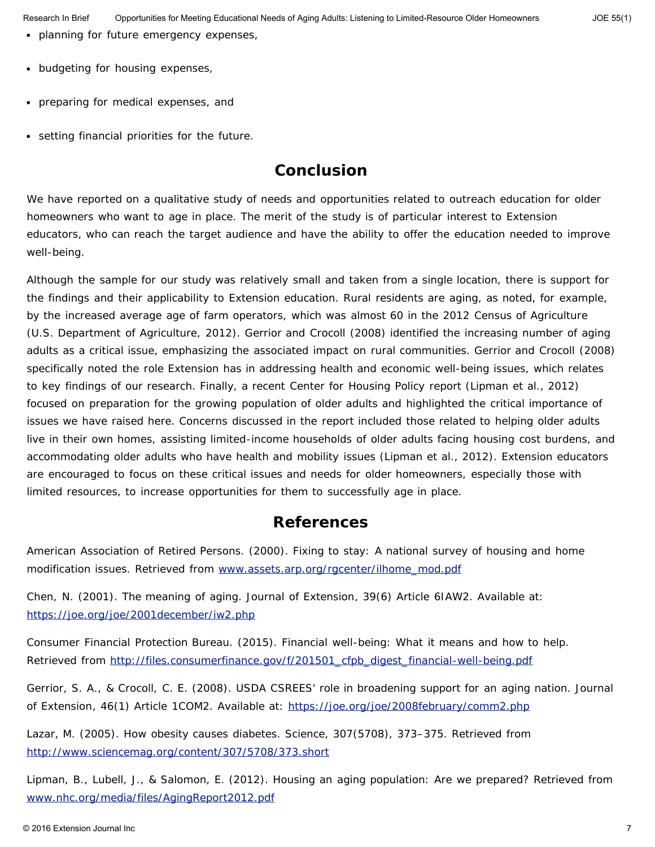- planning for future emergency expenses,
- budgeting for housing expenses,
- preparing for medical expenses, and
- setting financial priorities for the future.

## **Conclusion**

We have reported on a qualitative study of needs and opportunities related to outreach education for older homeowners who want to age in place. The merit of the study is of particular interest to Extension educators, who can reach the target audience and have the ability to offer the education needed to improve well-being.

Although the sample for our study was relatively small and taken from a single location, there is support for the findings and their applicability to Extension education. Rural residents are aging, as noted, for example, by the increased average age of farm operators, which was almost 60 in the 2012 Census of Agriculture (U.S. Department of Agriculture, 2012). Gerrior and Crocoll (2008) identified the increasing number of aging adults as a critical issue, emphasizing the associated impact on rural communities. Gerrior and Crocoll (2008) specifically noted the role Extension has in addressing health and economic well-being issues, which relates to key findings of our research. Finally, a recent Center for Housing Policy report (Lipman et al., 2012) focused on preparation for the growing population of older adults and highlighted the critical importance of issues we have raised here. Concerns discussed in the report included those related to helping older adults live in their own homes, assisting limited-income households of older adults facing housing cost burdens, and accommodating older adults who have health and mobility issues (Lipman et al., 2012). Extension educators are encouraged to focus on these critical issues and needs for older homeowners, especially those with limited resources, to increase opportunities for them to successfully age in place.

### **References**

American Association of Retired Persons. (2000). *Fixing to stay: A national survey of housing and home modification issues.* Retrieved from [www.assets.arp.org/rgcenter/ilhome\\_mod.pdf](http://www.assets.arp.org/rgcenter/ilhome_mod.pdf)

Chen, N. (2001). The meaning of aging. *Journal of Extension*, 39(6) Article 6IAW2. Available at: <https://joe.org/joe/2001december/iw2.php>

Consumer Financial Protection Bureau. (2015). *Financial well-being: What it means and how to help.* Retrieved from [http://files.consumerfinance.gov/f/201501\\_cfpb\\_digest\\_financial-well-being.pdf](http://files.consumerfinance.gov/f/201501_cfpb_digest_financial-well-being.pdf)

Gerrior, S. A., & Crocoll, C. E. (2008). USDA CSREES' role in broadening support for an aging nation. *Journal of Extension*, 46(1) Article 1COM2. Available at: <https://joe.org/joe/2008february/comm2.php>

Lazar, M. (2005). How obesity causes diabetes. *Science,* 307(5708), 373–375. Retrieved from <http://www.sciencemag.org/content/307/5708/373.short>

Lipman, B., Lubell, J., & Salomon, E. (2012). *Housing an aging population: Are we prepared?* Retrieved from [www.nhc.org/media/files/AgingReport2012.pdf](http://www.nhc.org/media/files/AgingReport2012.pdf)